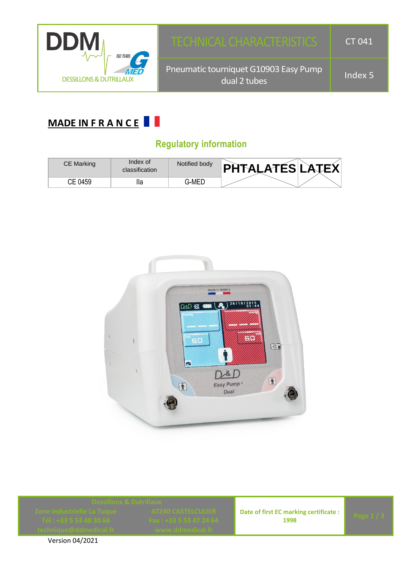

## **MADE IN F R A N C E**

### **Regulatory information**

| CE Marking | Index of<br>classification | Notified body | <b>PHTALATÉS LATEX</b> |
|------------|----------------------------|---------------|------------------------|
| CE 0459    | lla                        | 3-MED         |                        |



**Date of first EC marking certificate : 1998 Page 1/3** 



Version 04/2021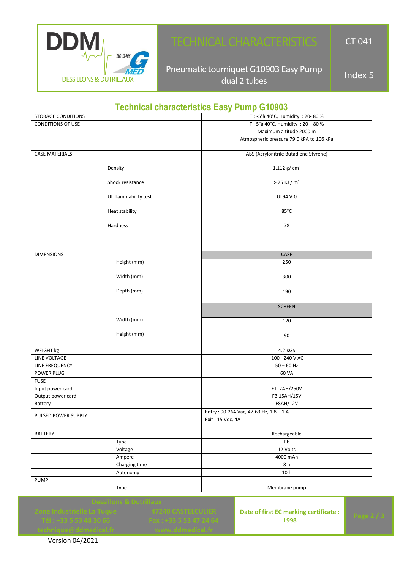

# TECHNICAL CHARACTERISTICS | CT 041

Pneumatic tourniquet G10903 Easy Pump dual 2 tubes  $\frac{10}{3}$  and  $\frac{10}{3}$  and  $\frac{1}{3}$  and  $\frac{1}{3}$  and  $\frac{1}{3}$  and  $\frac{1}{3}$  and  $\frac{1}{3}$  and  $\frac{1}{3}$  and  $\frac{1}{3}$  and  $\frac{1}{3}$  and  $\frac{1}{3}$  and  $\frac{1}{3}$  and  $\frac{1}{3}$  and  $\frac{1}{3}$  and  $\frac{1}{3}$ 

#### **Technical characteristics Easy Pump G10903**

| STORAGE CONDITIONS    |                      | T: -5°à 40°C, Humidity: 20-80%           |
|-----------------------|----------------------|------------------------------------------|
| CONDITIONS OF USE     |                      | T: 5°à 40°C, Humidity: 20 - 80 %         |
|                       |                      | Maximum altitude 2000 m                  |
|                       |                      | Atmospheric pressure 79.0 kPA to 106 kPa |
|                       |                      |                                          |
| <b>CASE MATERIALS</b> |                      | ABS (Acrylonitrile Butadiene Styrene)    |
|                       |                      |                                          |
|                       | Density              | 1.112 g/ $cm3$                           |
|                       |                      |                                          |
|                       | Shock resistance     | $>$ 25 KJ / m <sup>2</sup>               |
|                       | UL flammability test | UL94 V-0                                 |
|                       |                      |                                          |
|                       | Heat stability       | 85°C                                     |
|                       |                      |                                          |
|                       | Hardness             | 78                                       |
|                       |                      |                                          |
|                       |                      |                                          |
|                       |                      |                                          |
| <b>DIMENSIONS</b>     |                      | CASE                                     |
|                       | Height (mm)          | 250                                      |
|                       |                      |                                          |
|                       | Width (mm)           | 300                                      |
|                       | Depth (mm)           |                                          |
|                       |                      | 190                                      |
|                       |                      | <b>SCREEN</b>                            |
|                       |                      |                                          |
|                       | Width (mm)           | 120                                      |
|                       |                      |                                          |
|                       | Height (mm)          | 90                                       |
|                       |                      |                                          |
| WEIGHT kg             |                      | 4.2 KGS                                  |
| LINE VOLTAGE          |                      | 100 - 240 V AC                           |
| LINE FREQUENCY        |                      | $50 - 60$ Hz                             |
| POWER PLUG            |                      | 60 VA                                    |
| <b>FUSE</b>           |                      |                                          |
| Input power card      |                      | <b>FTT2AH/250V</b>                       |
| Output power card     |                      | F3.15AH/15V                              |
| Battery               |                      | F8AH/12V                                 |
| PULSED POWER SUPPLY   |                      | Entry: 90-264 Vac, 47-63 Hz, 1.8 - 1 A   |
|                       |                      | Exit: 15 Vdc, 4A                         |
|                       |                      |                                          |
| <b>BATTERY</b>        |                      | Rechargeable                             |
|                       | Type                 | Pb                                       |
|                       | Voltage              | 12 Volts                                 |
|                       | Ampere               | 4000 mAh                                 |
|                       | Charging time        | 8 h                                      |
|                       | Autonomy             | 10h                                      |
| <b>PUMP</b>           |                      |                                          |
|                       | Type                 | Membrane pump                            |

**Date of first EC marking certificate : 1998 Page 2 / 3**